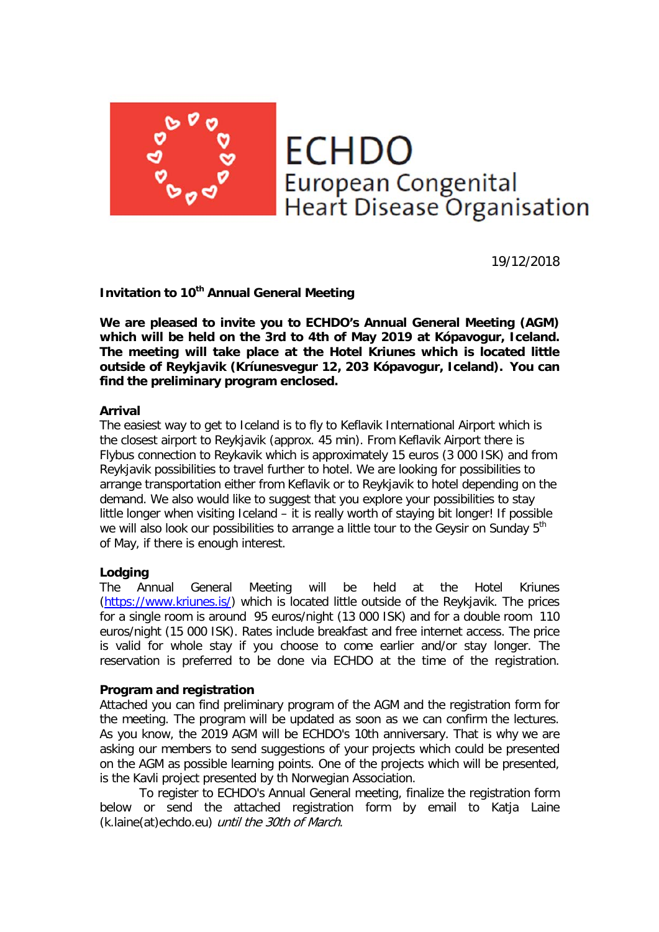**ECHDO** European Congenital<br>Heart Disease Organisation

19/12/2018

**Invitation to 10th Annual General Meeting**

**We are pleased to invite you to ECHDO's Annual General Meeting (AGM) which will be held on the 3rd to 4th of May 2019 at Kópavogur, Iceland. The meeting will take place at the Hotel Kriunes which is located little outside of Reykjavik (Kríunesvegur 12, 203 Kópavogur, Iceland). You can find the preliminary program enclosed.**

## **Arrival**

The easiest way to get to Iceland is to fly to Keflavik International Airport which is the closest airport to Reykjavik (approx. 45 min). From Keflavik Airport there is Flybus connection to Reykavik which is approximately 15 euros (3 000 ISK) and from Reykjavik possibilities to travel further to hotel. We are looking for possibilities to arrange transportation either from Keflavik or to Reykjavik to hotel depending on the demand. We also would like to suggest that you explore your possibilities to stay little longer when visiting Iceland – it is really worth of staying bit longer! If possible we will also look our possibilities to arrange a little tour to the Geysir on Sunday 5<sup>th</sup> of May, if there is enough interest.

# **Lodging**

The Annual General Meeting will be held at the Hotel Kriunes [\(https://www.kriunes.is/\)](http://www.kriunes.is/) which is located little outside of the Reykjavik. The prices for a single room is around 95 euros/night (13 000 ISK) and for a double room 110 euros/night (15 000 ISK). Rates include breakfast and free internet access. The price is valid for whole stay if you choose to come earlier and/or stay longer. The reservation is preferred to be done via ECHDO at the time of the registration.

#### **Program and registration**

Attached you can find preliminary program of the AGM and the registration form for the meeting. The program will be updated as soon as we can confirm the lectures. As you know, the 2019 AGM will be ECHDO's 10th anniversary. That is why we are asking our members to send suggestions of your projects which could be presented on the AGM as possible learning points. One of the projects which will be presented, is the Kavli project presented by th Norwegian Association.

To register to ECHDO's Annual General meeting, finalize the registration form below or send the attached registration form by email to Katja Laine (k.laine(at)echdo.eu) until the 30th of March.